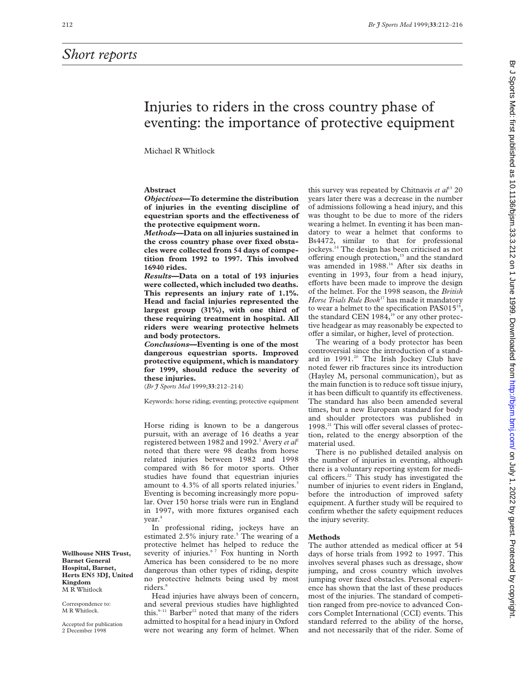## *Short reports*

# Injuries to riders in the cross country phase of eventing: the importance of protective equipment

Michael R Whitlock

## **Abstract**

*Objectives***—To determine the distribution of injuries in the eventing discipline of equestrian sports and the effectiveness of the protective equipment worn.**

*Methods***—Data on all injuries sustained in the cross country phase over fixed obstacles were collected from 54 days of competition from 1992 to 1997. This involved 16940 rides.**

*Results***—Data on a total of 193 injuries were collected, which included two deaths. This represents an injury rate of 1.1%. Head and facial injuries represented the largest group (31%), with one third of these requiring treatment in hospital. All riders were wearing protective helmets and body protectors.**

*Conclusions***—Eventing is one of the most dangerous equestrian sports. Improved protective equipment, which is mandatory for 1999, should reduce the severity of these injuries.**

(*Br J Sports Med* 1999;**33**:212–214)

Keywords: horse riding; eventing; protective equipment

Horse riding is known to be a dangerous pursuit, with an average of 16 deaths a year registered between 1982 and 1992.<sup>1</sup> Avery *et al*<sup>2</sup> noted that there were 98 deaths from horse related injuries between 1982 and 1998 compared with 86 for motor sports. Other studies have found that equestrian injuries amount to 4.3% of all sports related injuries.<sup>3</sup> Eventing is becoming increasingly more popular. Over 150 horse trials were run in England in 1997, with more fixtures organised each year.4

In professional riding, jockeys have an estimated  $2.5\%$  injury rate.<sup>5</sup> The wearing of a protective helmet has helped to reduce the severity of injuries.<sup>67</sup> Fox hunting in North America has been considered to be no more dangerous than other types of riding, despite no protective helmets being used by most riders.<sup>8</sup>

Head injuries have always been of concern, and several previous studies have highlighted this. $9-11$  Barber<sup>12</sup> noted that many of the riders admitted to hospital for a head injury in Oxford were not wearing any form of helmet. When

this survey was repeated by Chitnavis *et al*<sup>13</sup> 20 years later there was a decrease in the number of admissions following a head injury, and this was thought to be due to more of the riders wearing a helmet. In eventing it has been mandatory to wear a helmet that conforms to Bs4472, similar to that for professional jockeys.14 The design has been criticised as not offering enough protection,<sup>15</sup> and the standard was amended in 1988.<sup>16</sup> After six deaths in eventing in 1993, four from a head injury, efforts have been made to improve the design of the helmet. For the 1998 season, the *British Horse Trials Rule Book*<sup>17</sup> has made it mandatory to wear a helmet to the specification PAS015<sup>18</sup>, the standard CEN 1984, $19$  or any other protective headgear as may reasonably be expected to offer a similar, or higher, level of protection.

The wearing of a body protector has been controversial since the introduction of a standard in 1991.<sup>20</sup> The Irish Jockey Club have noted fewer rib fractures since its introduction (Hayley M, personal communication), but as the main function is to reduce soft tissue injury, it has been difficult to quantify its effectiveness. The standard has also been amended several times, but a new European standard for body and shoulder protectors was published in  $1998.<sup>21</sup>$  This will offer several classes of protection, related to the energy absorption of the material used.

There is no published detailed analysis on the number of injuries in eventing, although there is a voluntary reporting system for medical officers.<sup>22</sup> This study has investigated the number of injuries to event riders in England, before the introduction of improved safety equipment. A further study will be required to confirm whether the safety equipment reduces the injury severity.

### **Methods**

The author attended as medical officer at 54 days of horse trials from 1992 to 1997. This involves several phases such as dressage, show jumping, and cross country which involves jumping over fixed obstacles. Personal experience has shown that the last of these produces most of the injuries. The standard of competition ranged from pre-novice to advanced Concors Complet International (CCI) events. This standard referred to the ability of the horse, and not necessarily that of the rider. Some of

**Wellhouse NHS Trust, Barnet General Hospital, Barnet, Herts EN5 3DJ, United Kingdom** M R Whitlock

Correspondence to: M R Whitlock.

Accepted for publication 2 December 1998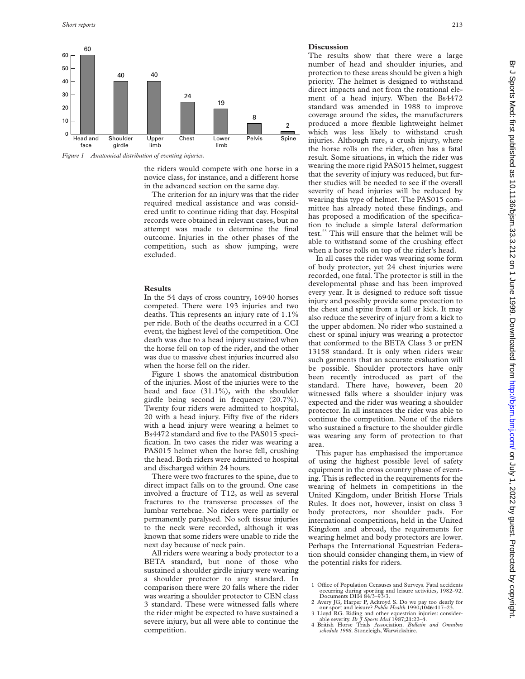

*Figure 1 Anatomical distribution of eventing injuries.*

the riders would compete with one horse in a novice class, for instance, and a different horse in the advanced section on the same day.

The criterion for an injury was that the rider required medical assistance and was considered unfit to continue riding that day. Hospital records were obtained in relevant cases, but no attempt was made to determine the final outcome. Injuries in the other phases of the competition, such as show jumping, were excluded.

#### **Results**

In the 54 days of cross country, 16940 horses competed. There were 193 injuries and two deaths. This represents an injury rate of 1.1% per ride. Both of the deaths occurred in a CCI event, the highest level of the competition. One death was due to a head injury sustained when the horse fell on top of the rider, and the other was due to massive chest injuries incurred also when the horse fell on the rider.

Figure 1 shows the anatomical distribution of the injuries. Most of the injuries were to the head and face (31.1%), with the shoulder girdle being second in frequency (20.7%). Twenty four riders were admitted to hospital, 20 with a head injury. Fifty five of the riders with a head injury were wearing a helmet to Bs4472 standard and five to the PAS015 specification. In two cases the rider was wearing a PAS015 helmet when the horse fell, crushing the head. Both riders were admitted to hospital and discharged within 24 hours.

There were two fractures to the spine, due to direct impact falls on to the ground. One case involved a fracture of T12, as well as several fractures to the transverse processes of the lumbar vertebrae. No riders were partially or permanently paralysed. No soft tissue injuries to the neck were recorded, although it was known that some riders were unable to ride the next day because of neck pain.

All riders were wearing a body protector to a BETA standard, but none of those who sustained a shoulder girdle injury were wearing a shoulder protector to any standard. In comparison there were 20 falls where the rider was wearing a shoulder protector to CEN class 3 standard. These were witnessed falls where the rider might be expected to have sustained a severe injury, but all were able to continue the competition.

#### **Discussion**

The results show that there were a large number of head and shoulder injuries, and protection to these areas should be given a high priority. The helmet is designed to withstand direct impacts and not from the rotational element of a head injury. When the Bs4472 standard was amended in 1988 to improve coverage around the sides, the manufacturers produced a more flexible lightweight helmet which was less likely to withstand crush injuries. Although rare, a crush injury, where the horse rolls on the rider, often has a fatal result. Some situations, in which the rider was wearing the more rigid PAS015 helmet, suggest that the severity of injury was reduced, but further studies will be needed to see if the overall severity of head injuries will be reduced by wearing this type of helmet. The PAS015 committee has already noted these findings, and has proposed a modification of the specification to include a simple lateral deformation test.23 This will ensure that the helmet will be able to withstand some of the crushing effect when a horse rolls on top of the rider's head.

In all cases the rider was wearing some form of body protector, yet 24 chest injuries were recorded, one fatal. The protector is still in the developmental phase and has been improved every year. It is designed to reduce soft tissue injury and possibly provide some protection to the chest and spine from a fall or kick. It may also reduce the severity of injury from a kick to the upper abdomen. No rider who sustained a chest or spinal injury was wearing a protector that conformed to the BETA Class 3 or prEN 13158 standard. It is only when riders wear such garments that an accurate evaluation will be possible. Shoulder protectors have only been recently introduced as part of the standard. There have, however, been 20 witnessed falls where a shoulder injury was expected and the rider was wearing a shoulder protector. In all instances the rider was able to continue the competition. None of the riders who sustained a fracture to the shoulder girdle was wearing any form of protection to that area.

This paper has emphasised the importance of using the highest possible level of safety equipment in the cross country phase of eventing. This is reflected in the requirements for the wearing of helmets in competitions in the United Kingdom, under British Horse Trials Rules. It does not, however, insist on class 3 body protectors, nor shoulder pads. For international competitions, held in the United Kingdom and abroad, the requirements for wearing helmet and body protectors are lower. Perhaps the International Equestrian Federation should consider changing them, in view of the potential risks for riders.

- 1 Office of Population Censuses and Surveys. Fatal accidents<br>occurring during sporting and leisure activities, 1982–92.<br>Documents DH4 84/3–93/3.
- 2 Avery JG, Harper P, Ackroyd S. Do we pay too dearly for our sport and leisure? *Public Health* 1990;**1046**:417–23.
- 3 Lloyd RG. Riding and other equestrian injuries: consider-able severity. *Br J Sports Med* 1987;**21**:22–4. 4 British Horse Trials Association. *Bulletin and Omnibus*
- *schedule 1998*. Stoneleigh, Warwickshire.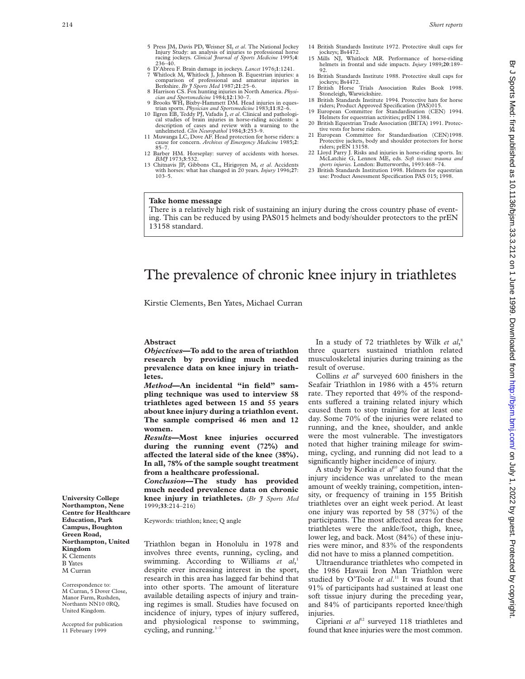- 5 Press JM, Davis PD, Weisner SI, *et al*. The National Jockey Injury Study: an analysis of injuries to professional horse racing jockeys. *Clinical Journal of Sports Medicine* 1995;4:<br>236–40.<br>6 D'Abreu F. Brain damage in jockeys. *Lancet* 1976:1:1241.
- Whitlock M, Whitlock J, Johnson B. Equestrian injuries: a comparison of professional and amateur injuries in
- Berkshire. *Br J Sports Med* 1987;**21**:25–6. 8 Harrison CS. Fox hunting injuries in North America. *Physi-cian and Sportsmedicine* 1984;**12**:130–7.
- 9 Brooks WH, Bixby-Hammett DM. Head injuries in eques-
- trian sports. *Physician and Sportsmedicine* 1983;**11**:82–6. 10 Ilgren EB, Teddy PJ, Vafadis J, *et al*. Clinical and pathological studies of brain injuries in horse-riding accidents: a description of cases and review with a warning to the
- unhelmeted. *Clin Neuropathol* 1984;**3**:253–9. 11 Muwanga LC, Dove AF. Head protection for horse riders: a cause for concern. *Archives of Emergency Medicine* 1985;**2**: 85–7.
- 12 Barber HM. Horseplay: survey of accidents with horses.<br> $BM$  1973:3:532.
- *BMJ* 1973;**3**:532. 13 Chitnavis JP, Gibbons CL, Hirigoyen M, *et al*. Accidents with horses: what has changed in 20 years. *Injury* 1996;**27**: 103–5.
- 14 British Standards Institute 1972. Protective skull caps for jockeys; Bs4472.
- 15 Mills NJ, Whitlock MR. Performance of horse-riding helmets in frontal and side impacts. *Injury* 1989;**20**:189– 92.
- 16 British Standards Institute 1988. Protective skull caps for jockeys; Bs4472.
- 17 British Horse Trials Association Rules Book 1998. Stoneleigh, Warwickshire. 18 British Standards Institute 1994. Protective hats for horse
- riders; Product Approved Specification (PAS)015. 19 European Committee for Standardisation (CEN) 1994.
- Helmets for equestrian activities; prEN 1384. 20 British Equestrian Trade Association (BETA) 1991. Protec-
- tive vests for horse riders. 21 European Committee for Standardisation (CEN)1998. Protective jackets, body and shoulder protectors for horse riders; prEN 13158.
- 22 Lloyd Parry J. Risks and injuries in horse-riding sports. In: McLatchie G, Lennox ME, eds. *Soft tissues: trauma and*
- *sports injuries.* London: Butterworths, 1993:468–74. 23 British Standards Institution 1998. Helmets for equestrian use: Product Assessment Specification PAS 015; 1998.

## **Take home message**

There is a relatively high risk of sustaining an injury during the cross country phase of eventing. This can be reduced by using PAS015 helmets and body/shoulder protectors to the prEN 13158 standard.

## The prevalence of chronic knee injury in triathletes

Kirstie Clements, Ben Yates, Michael Curran

#### **Abstract**

*Objectives***—To add to the area of triathlon research by providing much needed prevalence data on knee injury in triathletes.**

*Method***—An incidental "in field" sampling technique was used to interview 58 triathletes aged between 15 and 55 years about knee injury during a triathlon event. The sample comprised 46 men and 12 women.**

*Results***—Most knee injuries occurred during the running event (72%) and** affected the lateral side of the knee (38%). **In all, 78% of the sample sought treatment from a healthcare professional.**

*Conclusion***—The study has provided much needed prevalence data on chronic knee injury in triathletes.** (*Br J Sports Med* 1999;**33**:214–216)

Keywords: triathlon; knee; Q angle

Triathlon began in Honolulu in 1978 and involves three events, running, cycling, and swimming. According to Williams *et al*, 1 despite ever increasing interest in the sport, research in this area has lagged far behind that into other sports. The amount of literature available detailing aspects of injury and training regimes is small. Studies have focused on incidence of injury, types of injury suffered, and physiological response to swimming, cycling, and running. $1-\frac{7}{2}$ 

In a study of 72 triathletes by Wilk *et al*, 8 three quarters sustained triathlon related musculoskeletal injuries during training as the result of overuse.

Collins *et al*<sup>9</sup> surveyed 600 finishers in the Seafair Triathlon in 1986 with a 45% return rate. They reported that 49% of the respondents suffered a training related injury which caused them to stop training for at least one day. Some 70% of the injuries were related to running, and the knee, shoulder, and ankle were the most vulnerable. The investigators noted that higher training mileage for swimming, cycling, and running did not lead to a significantly higher incidence of injury.

A study by Korkia et al<sup>10</sup> also found that the injury incidence was unrelated to the mean amount of weekly training, competition, intensity, or frequency of training in 155 British triathletes over an eight week period. At least one injury was reported by 58 (37%) of the participants. The most affected areas for these triathletes were the ankle/foot, thigh, knee, lower leg, and back. Most (84%) of these injuries were minor, and 83% of the respondents did not have to miss a planned competition.

Ultraendurance triathletes who competed in the 1986 Hawaii Iron Man Triathlon were studied by O'Toole *et al*. <sup>11</sup> It was found that 91% of participants had sustained at least one soft tissue injury during the preceding year, and 84% of participants reported knee/thigh injuries.

Cipriani et al<sup>12</sup> surveyed 118 triathletes and found that knee injuries were the most common.

**University College Northampton, Nene Centre for Healthcare Education, Park Campus, Boughton Green Road, Northampton, United Kingdom** K Clements B Yates M Curran

Correspondence to: M Curran, 5 Dover Close, Manor Farm, Rushden, Northants NN10 0RQ, United Kingdom.

Accepted for publication 11 February 1999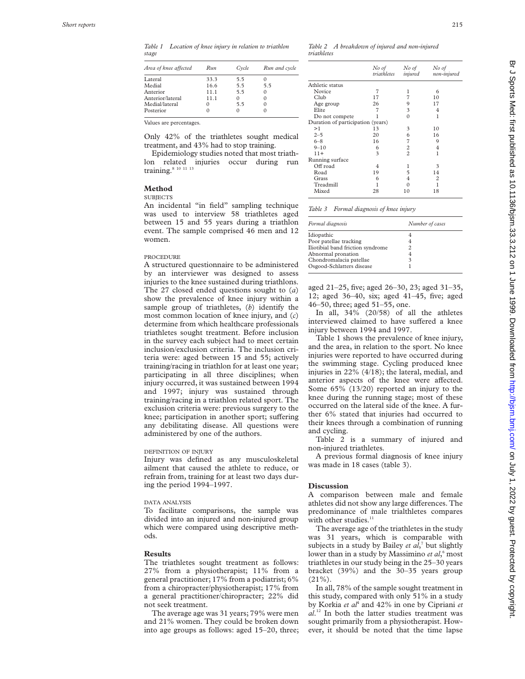*Table 1 Location of knee injury in relation to triathlon stage*

| Area of knee affected | Run  | Cycle | Run and cycle |
|-----------------------|------|-------|---------------|
| Lateral               | 33.3 | 5.5   |               |
| Medial                | 16.6 | 5.5   | 5.5           |
| Anterior              | 11.1 | 5.5   | 0             |
| Anterior/lateral      | 11.1 | 0     | $\Omega$      |
| Medial/lateral        | 0    | 5.5   | 0             |
| Posterior             |      |       | 0             |

Values are percentages.

Only 42% of the triathletes sought medical treatment, and 43% had to stop training.

Epidemiology studies noted that most triathlon related injuries occur during run training.<sup>8 10 11 13</sup>

## **Method**

## **SUBJECTS**

An incidental "in field" sampling technique was used to interview 58 triathletes aged between 15 and 55 years during a triathlon event. The sample comprised 46 men and 12 women.

#### PROCEDURE

A structured questionnaire to be administered by an interviewer was designed to assess injuries to the knee sustained during triathlons. The 27 closed ended questions sought to ( *a* ) show the prevalence of knee injury within a sample group of triathletes, ( *b*) identify the most common location of knee injury, and ( *c* ) determine from which healthcare professionals triathletes sought treatment. Before inclusion in the survey each subject had to meet certain inclusion/exclusion criteria. The inclusion criteria were: aged between 15 and 55; actively training/racing in triathlon for at least one year; participating in all three disciplines; when injury occurred, it was sustained between 1994 and 1997; injury was sustained through training/racing in a triathlon related sport. The exclusion criteria were: previous surgery to the knee; participation in another sport; suffering any debilitating disease. All questions were administered by one of the authors.

## DEFINITION OF INJURY

Injury was defined as any musculoskeletal ailment that caused the athlete to reduce, or refrain from, training for at least two days during the period 1994–1997.

### DATA ANALYSIS

To facilitate comparisons, the sample was divided into an injured and non-injured group which were compared using descriptive methods.

#### **Results**

The triathletes sought treatment as follows: 27% from a physiotherapist; 11% from a general practitioner; 17% from a podiatrist; 6% from a chiropracter/physiotherapist; 17% from a general practitioner/chiropracter; 22% did not seek treatment.

The average age was 31 years; 79% were men and 21% women. They could be broken down into age groups as follows: aged 15–20, three;

*Table 2 A breakdown of injured and non-injured triathletes*

|                                   | No of<br>triathletes | No of<br>injured | No of<br>non-injured |
|-----------------------------------|----------------------|------------------|----------------------|
| Athletic status                   |                      |                  |                      |
| Novice                            | 7                    | 1                | 6                    |
| Club                              | 17                   | 7                | 10                   |
| Age group                         | 26                   | 9                | 17                   |
| Elite                             | 7                    | 3                | 4                    |
| Do not compete                    |                      | $\Omega$         | 1                    |
| Duration of participation (years) |                      |                  |                      |
| >1                                | 13                   | 3                | 10                   |
| $2 - 5$                           | 20                   | 6                | 16                   |
| $6 - 8$                           | 16                   | 7                | 9                    |
| $9 - 10$                          | 6                    | 2                | 4                    |
| $11+$                             | 3                    | $\overline{c}$   | 1                    |
| Running surface                   |                      |                  |                      |
| Off road                          | 4                    | 1                | 3                    |
| Road                              | 19                   | 5                | 14                   |
| Grass                             | 6                    | 4                | 2                    |
| Treadmill                         | 1                    | 0                |                      |
| Mixed                             | 28                   | 10               | 18                   |
|                                   |                      |                  |                      |

| Table 3 |  | Formal diagnosis of knee injury |  |  |
|---------|--|---------------------------------|--|--|
|         |  |                                 |  |  |

| Formal diagnosis                  | Number of cases |  |  |  |
|-----------------------------------|-----------------|--|--|--|
| Idiopathic                        | 4               |  |  |  |
| Poor patellae tracking            | 4               |  |  |  |
| Iliotibial band friction syndrome | 2               |  |  |  |
| Abnormal pronation                | 4               |  |  |  |
| Chondromalacia patellae           | 3               |  |  |  |
| Osgood-Schlatters disease         |                 |  |  |  |

aged 21–25, five; aged 26–30, 23; aged 31–35, 12; aged 36–40, six; aged 41–45, five; aged 46–50, three; aged 51–55, one.

In all, 34% (20/58) of all the athletes interviewed claimed to have suffered a knee injury between 1994 and 1997.

Table 1 shows the prevalence of knee injury, and the area, in relation to the sport. No knee injuries were reported to have occurred during the swimming stage. Cycling produced knee injuries in 22% (4/18); the lateral, medial, and anterior aspects of the knee were affected. Some 65% (13/20) reported an injury to the knee during the running stage; most of these occurred on the lateral side of the knee. A further 6% stated that injuries had occurred to their knees through a combination of running and cycling.

Table 2 is a summary of injured and non-injured triathletes.

A previous formal diagnosis of knee injury was made in 18 cases (table 3).

## **Discussion**

A comparison between male and female athletes did not show any large differences. The predominance of male trialthletes compares with other studies.<sup>11</sup>

The average age of the triathletes in the study was 31 years, which is comparable with subjects in a study by Bailey *et al*, <sup>7</sup> but slightly lower than in a study by Massimino *et al*, <sup>6</sup> most triathletes in our study being in the 25–30 years bracket (39%) and the 30–35 years group  $(21\%)$ .

In all, 78% of the sample sought treatment in this study, compared with only 51% in a study by Korkia *et al*<sup>4</sup> and 42% in one by Cipriani *et al* . <sup>12</sup> In both the latter studies treatment was sought primarily from a physiotherapist. However, it should be noted that the time lapse